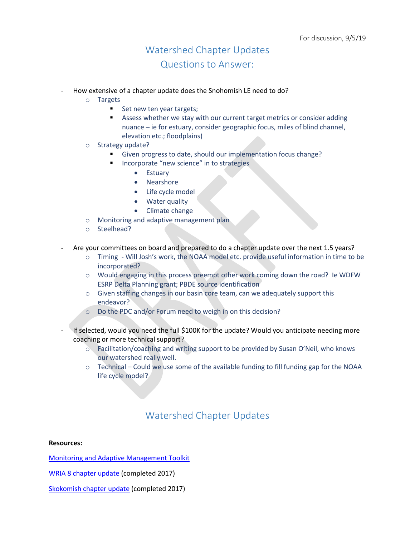## Watershed Chapter Updates Questions to Answer:

- How extensive of a chapter update does the Snohomish LE need to do?
	- o Targets
		- Set new ten year targets;
		- Assess whether we stay with our current target metrics or consider adding nuance – ie for estuary, consider geographic focus, miles of blind channel, elevation etc.; floodplains)
	- o Strategy update?
		- Given progress to date, should our implementation focus change?
			- Incorporate "new science" in to strategies
				- Estuary
				- Nearshore
				- Life cycle model
				- Water quality
				- Climate change
	- o Monitoring and adaptive management plan
	- o Steelhead?
- Are your committees on board and prepared to do a chapter update over the next 1.5 years?
	- o Timing Will Josh's work, the NOAA model etc. provide useful information in time to be incorporated?
	- o Would engaging in this process preempt other work coming down the road? Ie WDFW ESRP Delta Planning grant; PBDE source identification
	- o Given staffing changes in our basin core team, can we adequately support this endeavor?
	- o Do the PDC and/or Forum need to weigh in on this decision?
- If selected, would you need the full \$100K for the update? Would you anticipate needing more coaching or more technical support?
	- o Facilitation/coaching and writing support to be provided by Susan O'Neil, who knows our watershed really well.
	- $\circ$  Technical Could we use some of the available funding to fill funding gap for the NOAA life cycle model?

## Watershed Chapter Updates

## **Resources:**

[Monitoring and Adaptive Management Toolkit](https://pspwa.box.com/s/ffc91qn0xidjmod0k8fvmy00808fiqi0)

[WRIA 8 chapter update](https://www.govlink.org/watersheds/8/reports/chinook-plan-update.aspx) (completed 2017)

[Skokomish chapter update](https://pspwa.box.com/s/uvyhcxu9nhpmng1l47kt0knadcx31jew) (completed 2017)